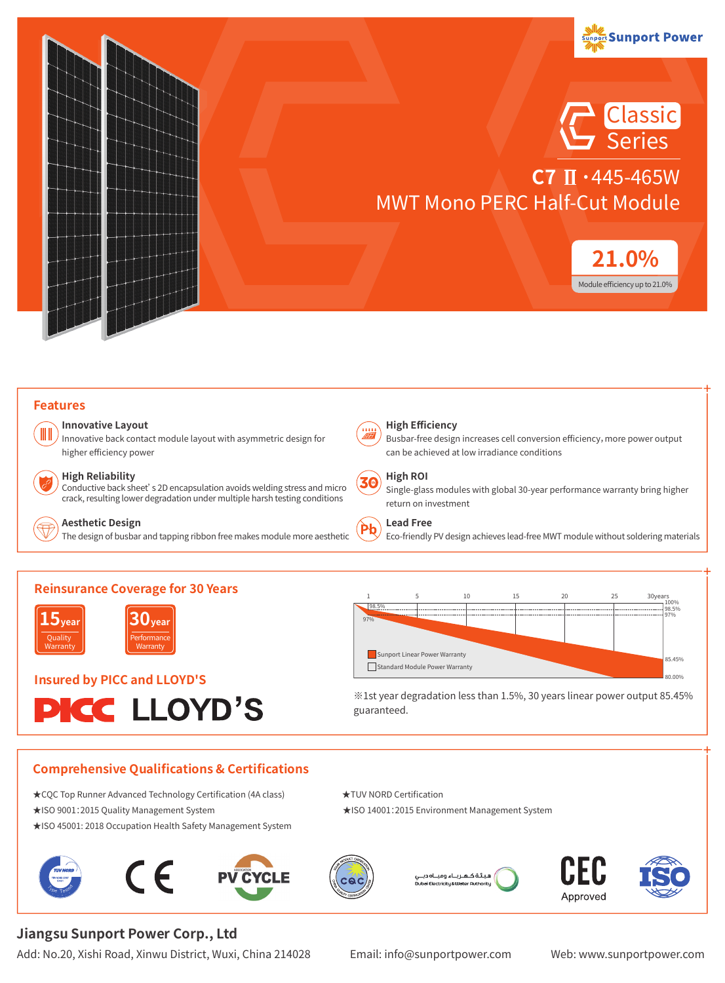

#### **Features**

H

#### **Innovative Layout**

Innovative back contact module layout with asymmetric design for higher efficiency power

#### **High Reliability**

**15year** Quality Warranty

Conductive back sheet's 2D encapsulation avoids welding stress and micro crack, resulting lower degradation under multiple harsh testing conditions



#### **Aesthetic Design**

**Reinsurance Coverage for 30 Years** 

**30year** Performance Warranty

**PICC LLOYD'S** 

The design of busbar and tapping ribbon free makes module more aesthetic



#### **High Efficiency**

Busbar-free design increases cell conversion efficiency,more power output can be achieved at low irradiance conditions

#### **High ROI** 30

Single-glass modules with global 30-year performance warranty bring higher return on investment

#### **Lead Free**

Eco-friendly PV design achieves lead-free MWT module without soldering materials



※1st year degradation less than 1.5%, 30 years linear power output 85.45% guaranteed.

#### **Comprehensive Qualifications & Certifications**

- ★CQC Top Runner Advanced Technology Certification (4A class) ★TUV NORD Certification
- ★ISO 9001:2015 Quality Management System ★ISO 14001:2015 Environment Management System

**Insured by PICC and LLOYD'S**

- ★ISO 45001: 2018 Occupation Health Safety Management System
- $\epsilon$









80.00% 85.45%

100% 98.5% 97%

# **Jiangsu Sunport Power Corp., Ltd**

Add: No.20, Xishi Road, Xinwu District, Wuxi, China 214028 Email: info@sunportpower.com Web: www.sunportpower.com